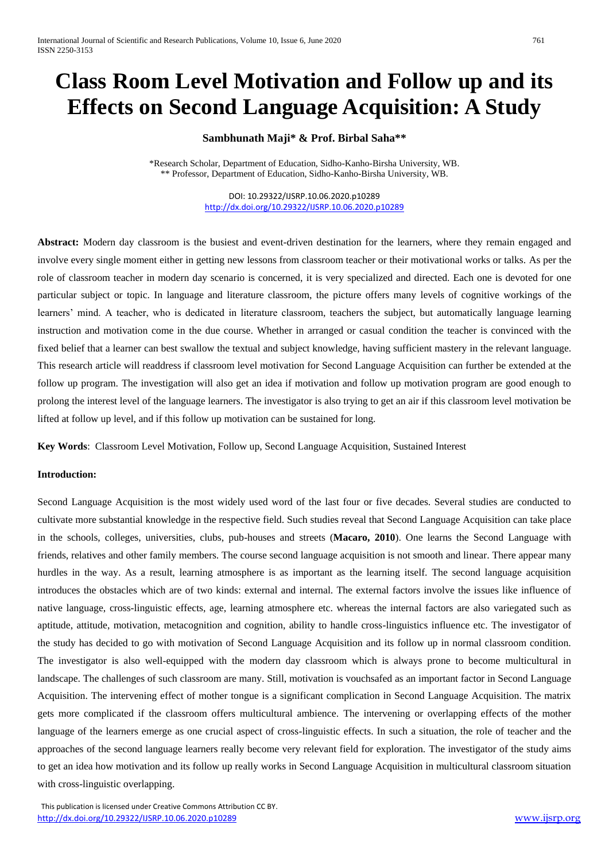# **Class Room Level Motivation and Follow up and its Effects on Second Language Acquisition: A Study**

# **Sambhunath Maji\* & Prof. Birbal Saha\*\***

\*Research Scholar, Department of Education, Sidho-Kanho-Birsha University, WB. \*\* Professor, Department of Education, Sidho-Kanho-Birsha University, WB.

> DOI: 10.29322/IJSRP.10.06.2020.p10289 <http://dx.doi.org/10.29322/IJSRP.10.06.2020.p10289>

**Abstract:** Modern day classroom is the busiest and event-driven destination for the learners, where they remain engaged and involve every single moment either in getting new lessons from classroom teacher or their motivational works or talks. As per the role of classroom teacher in modern day scenario is concerned, it is very specialized and directed. Each one is devoted for one particular subject or topic. In language and literature classroom, the picture offers many levels of cognitive workings of the learners' mind. A teacher, who is dedicated in literature classroom, teachers the subject, but automatically language learning instruction and motivation come in the due course. Whether in arranged or casual condition the teacher is convinced with the fixed belief that a learner can best swallow the textual and subject knowledge, having sufficient mastery in the relevant language. This research article will readdress if classroom level motivation for Second Language Acquisition can further be extended at the follow up program. The investigation will also get an idea if motivation and follow up motivation program are good enough to prolong the interest level of the language learners. The investigator is also trying to get an air if this classroom level motivation be lifted at follow up level, and if this follow up motivation can be sustained for long.

**Key Words**: Classroom Level Motivation, Follow up, Second Language Acquisition, Sustained Interest

# **Introduction:**

Second Language Acquisition is the most widely used word of the last four or five decades. Several studies are conducted to cultivate more substantial knowledge in the respective field. Such studies reveal that Second Language Acquisition can take place in the schools, colleges, universities, clubs, pub-houses and streets (**Macaro, 2010**). One learns the Second Language with friends, relatives and other family members. The course second language acquisition is not smooth and linear. There appear many hurdles in the way. As a result, learning atmosphere is as important as the learning itself. The second language acquisition introduces the obstacles which are of two kinds: external and internal. The external factors involve the issues like influence of native language, cross-linguistic effects, age, learning atmosphere etc. whereas the internal factors are also variegated such as aptitude, attitude, motivation, metacognition and cognition, ability to handle cross-linguistics influence etc. The investigator of the study has decided to go with motivation of Second Language Acquisition and its follow up in normal classroom condition. The investigator is also well-equipped with the modern day classroom which is always prone to become multicultural in landscape. The challenges of such classroom are many. Still, motivation is vouchsafed as an important factor in Second Language Acquisition. The intervening effect of mother tongue is a significant complication in Second Language Acquisition. The matrix gets more complicated if the classroom offers multicultural ambience. The intervening or overlapping effects of the mother language of the learners emerge as one crucial aspect of cross-linguistic effects. In such a situation, the role of teacher and the approaches of the second language learners really become very relevant field for exploration. The investigator of the study aims to get an idea how motivation and its follow up really works in Second Language Acquisition in multicultural classroom situation with cross-linguistic overlapping.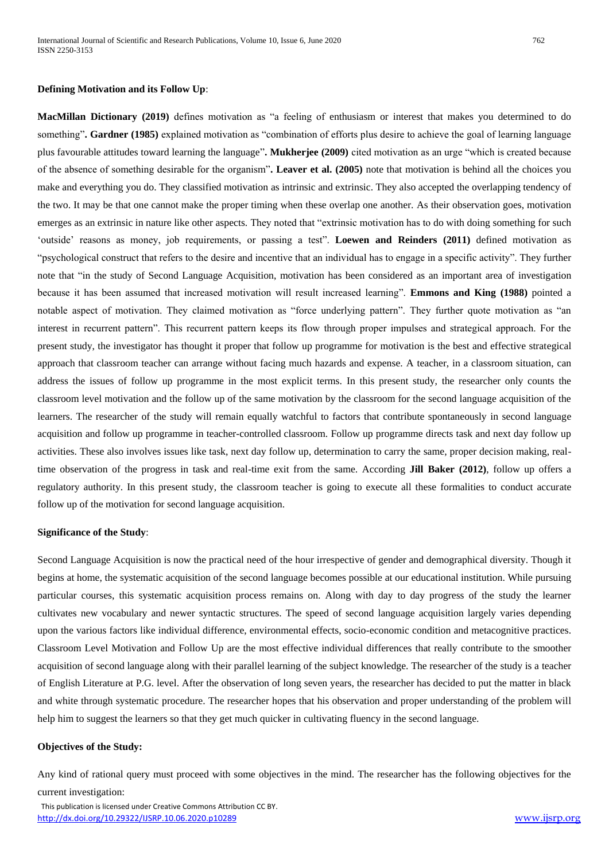**MacMillan Dictionary (2019)** defines motivation as "a feeling of enthusiasm or interest that makes you determined to do something"**. Gardner (1985)** explained motivation as "combination of efforts plus desire to achieve the goal of learning language plus favourable attitudes toward learning the language"**. Mukherjee (2009)** cited motivation as an urge "which is created because of the absence of something desirable for the organism"**. Leaver et al. (2005)** note that motivation is behind all the choices you make and everything you do. They classified motivation as intrinsic and extrinsic. They also accepted the overlapping tendency of the two. It may be that one cannot make the proper timing when these overlap one another. As their observation goes, motivation emerges as an extrinsic in nature like other aspects. They noted that "extrinsic motivation has to do with doing something for such 'outside' reasons as money, job requirements, or passing a test". **Loewen and Reinders (2011)** defined motivation as "psychological construct that refers to the desire and incentive that an individual has to engage in a specific activity". They further note that "in the study of Second Language Acquisition, motivation has been considered as an important area of investigation because it has been assumed that increased motivation will result increased learning". **Emmons and King (1988)** pointed a notable aspect of motivation. They claimed motivation as "force underlying pattern". They further quote motivation as "an interest in recurrent pattern". This recurrent pattern keeps its flow through proper impulses and strategical approach. For the present study, the investigator has thought it proper that follow up programme for motivation is the best and effective strategical approach that classroom teacher can arrange without facing much hazards and expense. A teacher, in a classroom situation, can address the issues of follow up programme in the most explicit terms. In this present study, the researcher only counts the classroom level motivation and the follow up of the same motivation by the classroom for the second language acquisition of the learners. The researcher of the study will remain equally watchful to factors that contribute spontaneously in second language acquisition and follow up programme in teacher-controlled classroom. Follow up programme directs task and next day follow up activities. These also involves issues like task, next day follow up, determination to carry the same, proper decision making, realtime observation of the progress in task and real-time exit from the same. According **Jill Baker (2012)**, follow up offers a regulatory authority. In this present study, the classroom teacher is going to execute all these formalities to conduct accurate follow up of the motivation for second language acquisition.

#### **Significance of the Study**:

Second Language Acquisition is now the practical need of the hour irrespective of gender and demographical diversity. Though it begins at home, the systematic acquisition of the second language becomes possible at our educational institution. While pursuing particular courses, this systematic acquisition process remains on. Along with day to day progress of the study the learner cultivates new vocabulary and newer syntactic structures. The speed of second language acquisition largely varies depending upon the various factors like individual difference, environmental effects, socio-economic condition and metacognitive practices. Classroom Level Motivation and Follow Up are the most effective individual differences that really contribute to the smoother acquisition of second language along with their parallel learning of the subject knowledge. The researcher of the study is a teacher of English Literature at P.G. level. After the observation of long seven years, the researcher has decided to put the matter in black and white through systematic procedure. The researcher hopes that his observation and proper understanding of the problem will help him to suggest the learners so that they get much quicker in cultivating fluency in the second language.

#### **Objectives of the Study:**

Any kind of rational query must proceed with some objectives in the mind. The researcher has the following objectives for the current investigation: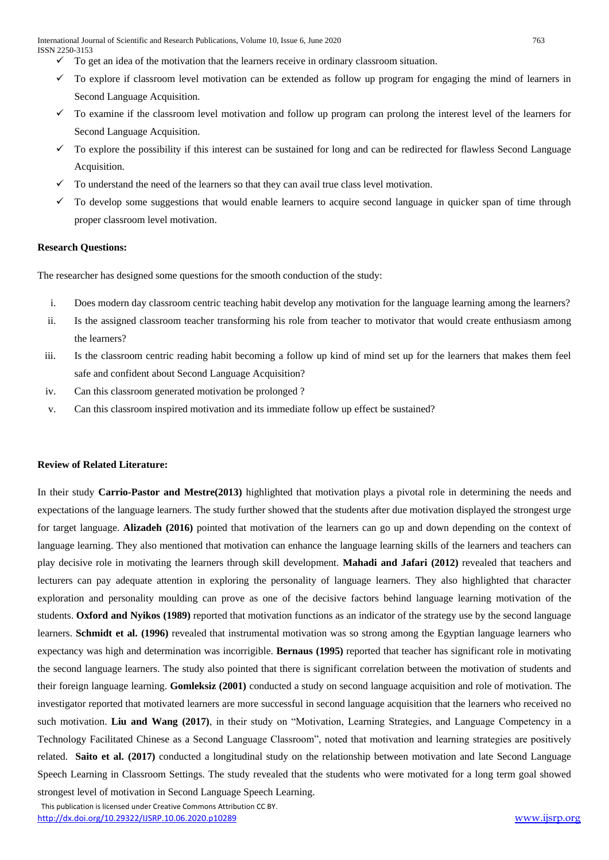International Journal of Scientific and Research Publications, Volume 10, Issue 6, June 2020 763 ISSN 2250-3153

- $\checkmark$  To get an idea of the motivation that the learners receive in ordinary classroom situation.
- $\checkmark$  To explore if classroom level motivation can be extended as follow up program for engaging the mind of learners in Second Language Acquisition.
- $\checkmark$  To examine if the classroom level motivation and follow up program can prolong the interest level of the learners for Second Language Acquisition.
- $\checkmark$  To explore the possibility if this interest can be sustained for long and can be redirected for flawless Second Language Acquisition.
- $\checkmark$  To understand the need of the learners so that they can avail true class level motivation.
- $\checkmark$  To develop some suggestions that would enable learners to acquire second language in quicker span of time through proper classroom level motivation.

#### **Research Questions:**

The researcher has designed some questions for the smooth conduction of the study:

- i. Does modern day classroom centric teaching habit develop any motivation for the language learning among the learners?
- ii. Is the assigned classroom teacher transforming his role from teacher to motivator that would create enthusiasm among the learners?
- iii. Is the classroom centric reading habit becoming a follow up kind of mind set up for the learners that makes them feel safe and confident about Second Language Acquisition?
- iv. Can this classroom generated motivation be prolonged ?
- v. Can this classroom inspired motivation and its immediate follow up effect be sustained?

## **Review of Related Literature:**

In their study **Carrio-Pastor and Mestre(2013)** highlighted that motivation plays a pivotal role in determining the needs and expectations of the language learners. The study further showed that the students after due motivation displayed the strongest urge for target language. **Alizadeh (2016)** pointed that motivation of the learners can go up and down depending on the context of language learning. They also mentioned that motivation can enhance the language learning skills of the learners and teachers can play decisive role in motivating the learners through skill development. **Mahadi and Jafari (2012)** revealed that teachers and lecturers can pay adequate attention in exploring the personality of language learners. They also highlighted that character exploration and personality moulding can prove as one of the decisive factors behind language learning motivation of the students. **Oxford and Nyikos (1989)** reported that motivation functions as an indicator of the strategy use by the second language learners. **Schmidt et al. (1996)** revealed that instrumental motivation was so strong among the Egyptian language learners who expectancy was high and determination was incorrigible. **Bernaus (1995)** reported that teacher has significant role in motivating the second language learners. The study also pointed that there is significant correlation between the motivation of students and their foreign language learning. **Gomleksiz (2001)** conducted a study on second language acquisition and role of motivation. The investigator reported that motivated learners are more successful in second language acquisition that the learners who received no such motivation. **Liu and Wang (2017)**, in their study on "Motivation, Learning Strategies, and Language Competency in a Technology Facilitated Chinese as a Second Language Classroom", noted that motivation and learning strategies are positively related. **Saito et al. (2017)** conducted a longitudinal study on the relationship between motivation and late Second Language Speech Learning in Classroom Settings. The study revealed that the students who were motivated for a long term goal showed

strongest level of motivation in Second Language Speech Learning.

This publication is licensed under Creative Commons Attribution CC BY.

<http://dx.doi.org/10.29322/IJSRP.10.06.2020.p10289> [www.ijsrp.org](http://ijsrp.org/)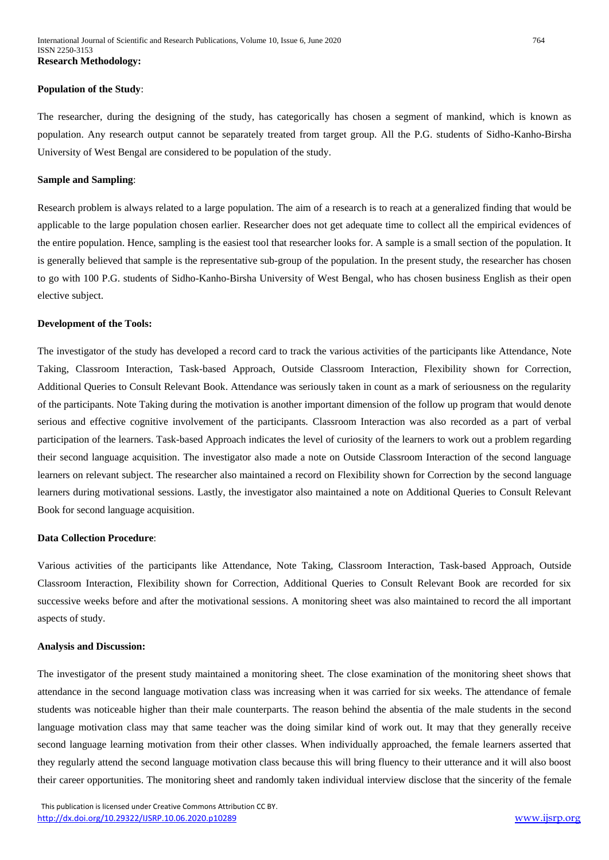#### **Population of the Study**:

The researcher, during the designing of the study, has categorically has chosen a segment of mankind, which is known as population. Any research output cannot be separately treated from target group. All the P.G. students of Sidho-Kanho-Birsha University of West Bengal are considered to be population of the study.

#### **Sample and Sampling**:

Research problem is always related to a large population. The aim of a research is to reach at a generalized finding that would be applicable to the large population chosen earlier. Researcher does not get adequate time to collect all the empirical evidences of the entire population. Hence, sampling is the easiest tool that researcher looks for. A sample is a small section of the population. It is generally believed that sample is the representative sub-group of the population. In the present study, the researcher has chosen to go with 100 P.G. students of Sidho-Kanho-Birsha University of West Bengal, who has chosen business English as their open elective subject.

#### **Development of the Tools:**

The investigator of the study has developed a record card to track the various activities of the participants like Attendance, Note Taking, Classroom Interaction, Task-based Approach, Outside Classroom Interaction, Flexibility shown for Correction, Additional Queries to Consult Relevant Book. Attendance was seriously taken in count as a mark of seriousness on the regularity of the participants. Note Taking during the motivation is another important dimension of the follow up program that would denote serious and effective cognitive involvement of the participants. Classroom Interaction was also recorded as a part of verbal participation of the learners. Task-based Approach indicates the level of curiosity of the learners to work out a problem regarding their second language acquisition. The investigator also made a note on Outside Classroom Interaction of the second language learners on relevant subject. The researcher also maintained a record on Flexibility shown for Correction by the second language learners during motivational sessions. Lastly, the investigator also maintained a note on Additional Queries to Consult Relevant Book for second language acquisition.

#### **Data Collection Procedure**:

Various activities of the participants like Attendance, Note Taking, Classroom Interaction, Task-based Approach, Outside Classroom Interaction, Flexibility shown for Correction, Additional Queries to Consult Relevant Book are recorded for six successive weeks before and after the motivational sessions. A monitoring sheet was also maintained to record the all important aspects of study.

#### **Analysis and Discussion:**

The investigator of the present study maintained a monitoring sheet. The close examination of the monitoring sheet shows that attendance in the second language motivation class was increasing when it was carried for six weeks. The attendance of female students was noticeable higher than their male counterparts. The reason behind the absentia of the male students in the second language motivation class may that same teacher was the doing similar kind of work out. It may that they generally receive second language learning motivation from their other classes. When individually approached, the female learners asserted that they regularly attend the second language motivation class because this will bring fluency to their utterance and it will also boost their career opportunities. The monitoring sheet and randomly taken individual interview disclose that the sincerity of the female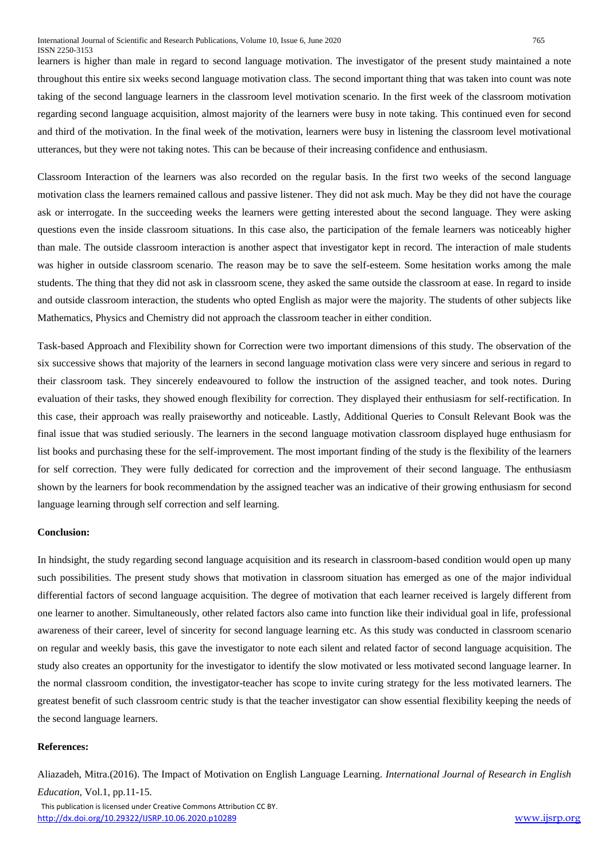learners is higher than male in regard to second language motivation. The investigator of the present study maintained a note throughout this entire six weeks second language motivation class. The second important thing that was taken into count was note taking of the second language learners in the classroom level motivation scenario. In the first week of the classroom motivation regarding second language acquisition, almost majority of the learners were busy in note taking. This continued even for second and third of the motivation. In the final week of the motivation, learners were busy in listening the classroom level motivational utterances, but they were not taking notes. This can be because of their increasing confidence and enthusiasm.

Classroom Interaction of the learners was also recorded on the regular basis. In the first two weeks of the second language motivation class the learners remained callous and passive listener. They did not ask much. May be they did not have the courage ask or interrogate. In the succeeding weeks the learners were getting interested about the second language. They were asking questions even the inside classroom situations. In this case also, the participation of the female learners was noticeably higher than male. The outside classroom interaction is another aspect that investigator kept in record. The interaction of male students was higher in outside classroom scenario. The reason may be to save the self-esteem. Some hesitation works among the male students. The thing that they did not ask in classroom scene, they asked the same outside the classroom at ease. In regard to inside and outside classroom interaction, the students who opted English as major were the majority. The students of other subjects like Mathematics, Physics and Chemistry did not approach the classroom teacher in either condition.

Task-based Approach and Flexibility shown for Correction were two important dimensions of this study. The observation of the six successive shows that majority of the learners in second language motivation class were very sincere and serious in regard to their classroom task. They sincerely endeavoured to follow the instruction of the assigned teacher, and took notes. During evaluation of their tasks, they showed enough flexibility for correction. They displayed their enthusiasm for self-rectification. In this case, their approach was really praiseworthy and noticeable. Lastly, Additional Queries to Consult Relevant Book was the final issue that was studied seriously. The learners in the second language motivation classroom displayed huge enthusiasm for list books and purchasing these for the self-improvement. The most important finding of the study is the flexibility of the learners for self correction. They were fully dedicated for correction and the improvement of their second language. The enthusiasm shown by the learners for book recommendation by the assigned teacher was an indicative of their growing enthusiasm for second language learning through self correction and self learning.

#### **Conclusion:**

In hindsight, the study regarding second language acquisition and its research in classroom-based condition would open up many such possibilities. The present study shows that motivation in classroom situation has emerged as one of the major individual differential factors of second language acquisition. The degree of motivation that each learner received is largely different from one learner to another. Simultaneously, other related factors also came into function like their individual goal in life, professional awareness of their career, level of sincerity for second language learning etc. As this study was conducted in classroom scenario on regular and weekly basis, this gave the investigator to note each silent and related factor of second language acquisition. The study also creates an opportunity for the investigator to identify the slow motivated or less motivated second language learner. In the normal classroom condition, the investigator-teacher has scope to invite curing strategy for the less motivated learners. The greatest benefit of such classroom centric study is that the teacher investigator can show essential flexibility keeping the needs of the second language learners.

## **References:**

Aliazadeh, Mitra.(2016). The Impact of Motivation on English Language Learning. *International Journal of Research in English Education,* Vol.1, pp.11-15.

 This publication is licensed under Creative Commons Attribution CC BY. <http://dx.doi.org/10.29322/IJSRP.10.06.2020.p10289> [www.ijsrp.org](http://ijsrp.org/)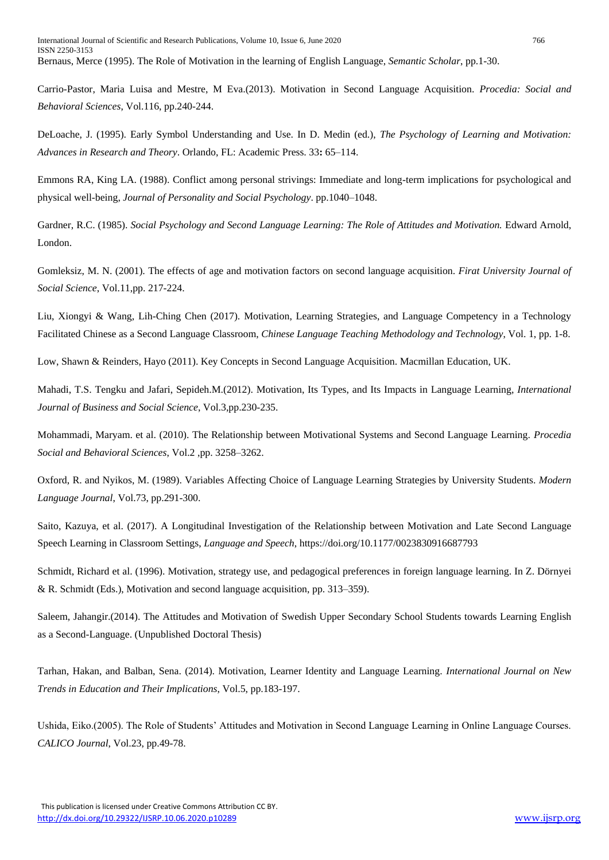Carrio-Pastor, Maria Luisa and Mestre, M Eva.(2013). Motivation in Second Language Acquisition. *Procedia: Social and Behavioral Sciences*, Vol.116, pp.240-244.

DeLoache, J. (1995). Early Symbol Understanding and Use. In D. Medin (ed.), *The Psychology of Learning and Motivation: Advances in Research and Theory*. Orlando, FL: Academic Press. 33**:** 65–114.

Emmons RA, King LA. (1988). Conflict among personal strivings: Immediate and long-term implications for psychological and physical well-being, *Journal of Personality and Social Psychology*. pp.1040–1048.

Gardner, R.C. (1985). *Social Psychology and Second Language Learning: The Role of Attitudes and Motivation.* Edward Arnold, London.

Gomleksiz, M. N. (2001). The effects of age and motivation factors on second language acquisition. *Firat University Journal of Social Science*, Vol.11,pp. 217-224.

Liu, Xiongyi & Wang, Lih-Ching Chen (2017). Motivation, Learning Strategies, and Language Competency in a Technology Facilitated Chinese as a Second Language Classroom, *Chinese Language Teaching Methodology and Technology*, Vol. 1, pp. 1-8.

Low, Shawn & Reinders, Hayo (2011). Key Concepts in Second Language Acquisition. Macmillan Education, UK.

Mahadi, T.S. Tengku and Jafari, Sepideh.M.(2012). Motivation, Its Types, and Its Impacts in Language Learning, *International Journal of Business and Social Science*, Vol.3,pp.230-235.

Mohammadi, Maryam. et al. (2010). The Relationship between Motivational Systems and Second Language Learning. *Procedia Social and Behavioral Sciences*, Vol.2 ,pp. 3258–3262.

Oxford, R. and Nyikos, M. (1989). Variables Affecting Choice of Language Learning Strategies by University Students. *Modern Language Journal*, Vol.73, pp.291-300.

Saito, Kazuya, et al. (2017). A Longitudinal Investigation of the Relationship between Motivation and Late Second Language Speech Learning in Classroom Settings, *Language and Speech*, https://doi.org/10.1177/0023830916687793

Schmidt, Richard et al. (1996). Motivation, strategy use, and pedagogical preferences in foreign language learning. In Z. Dörnyei & R. Schmidt (Eds.), Motivation and second language acquisition, pp. 313–359).

Saleem, Jahangir.(2014). The Attitudes and Motivation of Swedish Upper Secondary School Students towards Learning English as a Second-Language. (Unpublished Doctoral Thesis)

Tarhan, Hakan, and Balban, Sena. (2014). Motivation, Learner Identity and Language Learning. *International Journal on New Trends in Education and Their Implications*, Vol.5, pp.183-197.

Ushida, Eiko.(2005). The Role of Students' Attitudes and Motivation in Second Language Learning in Online Language Courses. *CALICO Journal*, Vol.23, pp.49-78.